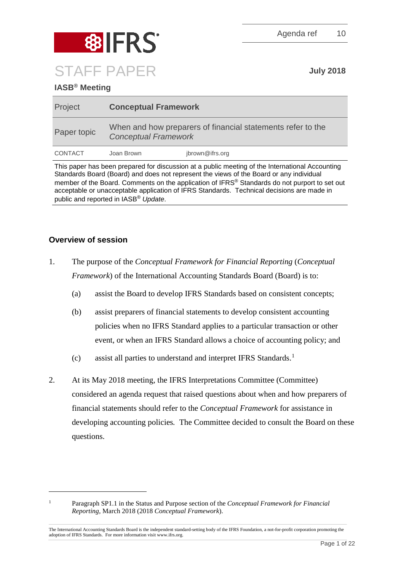

# **IASB® Meeting**

| Project        | <b>Conceptual Framework</b>                                                                |                 |
|----------------|--------------------------------------------------------------------------------------------|-----------------|
| Paper topic    | When and how preparers of financial statements refer to the<br><b>Conceptual Framework</b> |                 |
| <b>CONTACT</b> | Joan Brown                                                                                 | jbrown@ifrs.org |

This paper has been prepared for discussion at a public meeting of the International Accounting Standards Board (Board) and does not represent the views of the Board or any individual member of the Board. Comments on the application of IFRS® Standards do not purport to set out acceptable or unacceptable application of IFRS Standards. Technical decisions are made in public and reported in IASB® *Update*.

# **Overview of session**

-

- 1. The purpose of the *Conceptual Framework for Financial Reporting* (*Conceptual Framework*) of the International Accounting Standards Board (Board) is to:
	- (a) assist the Board to develop IFRS Standards based on consistent concepts;
	- (b) assist preparers of financial statements to develop consistent accounting policies when no IFRS Standard applies to a particular transaction or other event, or when an IFRS Standard allows a choice of accounting policy; and
	- (c) assist all parties to understand and interpret IFRS Standards.[1](#page-0-0)
- 2. At its May 2018 meeting, the IFRS Interpretations Committee (Committee) considered an agenda request that raised questions about when and how preparers of financial statements should refer to the *Conceptual Framework* for assistance in developing accounting policies*.* The Committee decided to consult the Board on these questions.

<span id="page-0-0"></span><sup>1</sup> Paragraph SP1.1 in the Status and Purpose section of the *Conceptual Framework for Financial Reporting,* March 2018 (2018 *Conceptual Framework*).

The International Accounting Standards Board is the independent standard-setting body of the IFRS Foundation, a not-for-profit corporation promoting the adoption of IFRS Standards. For more information visit www.ifrs.org.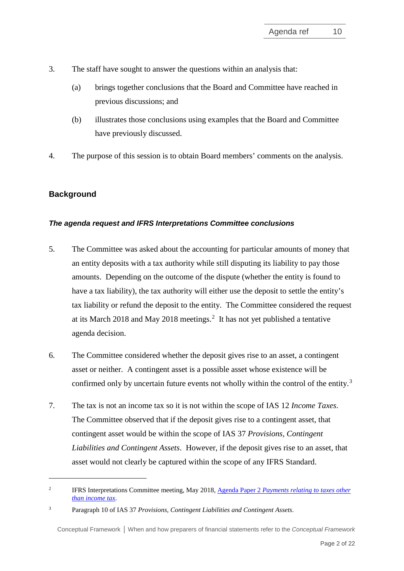- 3. The staff have sought to answer the questions within an analysis that:
	- (a) brings together conclusions that the Board and Committee have reached in previous discussions; and
	- (b) illustrates those conclusions using examples that the Board and Committee have previously discussed.
- 4. The purpose of this session is to obtain Board members' comments on the analysis.

# **Background**

<u>.</u>

## *The agenda request and IFRS Interpretations Committee conclusions*

- 5. The Committee was asked about the accounting for particular amounts of money that an entity deposits with a tax authority while still disputing its liability to pay those amounts. Depending on the outcome of the dispute (whether the entity is found to have a tax liability), the tax authority will either use the deposit to settle the entity's tax liability or refund the deposit to the entity. The Committee considered the request at its March [2](#page-1-0)018 and May 2018 meetings.<sup>2</sup> It has not yet published a tentative agenda decision.
- 6. The Committee considered whether the deposit gives rise to an asset, a contingent asset or neither. A contingent asset is a possible asset whose existence will be confirmed only by uncertain future events not wholly within the control of the entity.<sup>[3](#page-1-1)</sup>
- 7. The tax is not an income tax so it is not within the scope of IAS 12 *Income Taxes*. The Committee observed that if the deposit gives rise to a contingent asset, that contingent asset would be within the scope of IAS 37 *Provisions, Contingent Liabilities and Contingent Assets*. However, if the deposit gives rise to an asset, that asset would not clearly be captured within the scope of any IFRS Standard.

Conceptual Framework **│** When and how preparers of financial statements refer to the *Conceptual Framework*

<span id="page-1-0"></span><sup>2</sup> IFRS Interpretations Committee meeting, May 2018, Agenda Paper 2 *[Payments relating to taxes other](https://www.ifrs.org/-/media/feature/meetings/2018/may/ifric/ap02-payments-relating-to-taxes-other-than-income-tax.pdf)  [than income tax](https://www.ifrs.org/-/media/feature/meetings/2018/may/ifric/ap02-payments-relating-to-taxes-other-than-income-tax.pdf)*.

<span id="page-1-1"></span><sup>3</sup> Paragraph 10 of IAS 37 *Provisions, Contingent Liabilities and Contingent Assets*.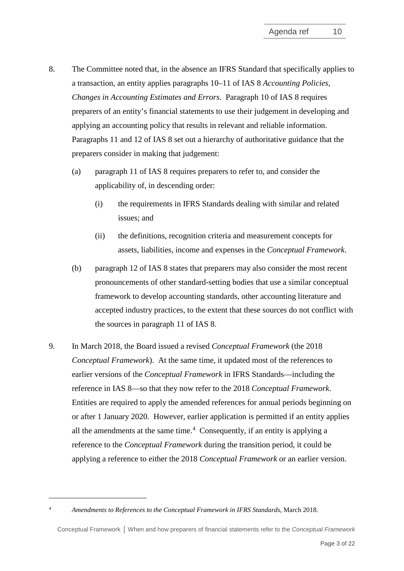- 8. The Committee noted that, in the absence an IFRS Standard that specifically applies to a transaction, an entity applies paragraphs 10–11 of IAS 8 *Accounting Policies, Changes in Accounting Estimates and Errors*. Paragraph 10 of IAS 8 requires preparers of an entity's financial statements to use their judgement in developing and applying an accounting policy that results in relevant and reliable information. Paragraphs 11 and 12 of IAS 8 set out a hierarchy of authoritative guidance that the preparers consider in making that judgement:
	- (a) paragraph 11 of IAS 8 requires preparers to refer to, and consider the applicability of, in descending order:
		- (i) the requirements in IFRS Standards dealing with similar and related issues; and
		- (ii) the definitions, recognition criteria and measurement concepts for assets, liabilities, income and expenses in the *Conceptual Framework*.
	- (b) paragraph 12 of IAS 8 states that preparers may also consider the most recent pronouncements of other standard-setting bodies that use a similar conceptual framework to develop accounting standards, other accounting literature and accepted industry practices, to the extent that these sources do not conflict with the sources in paragraph 11 of IAS 8.
- 9. In March 2018, the Board issued a revised *Conceptual Framework* (the 2018 *Conceptual Framework*). At the same time, it updated most of the references to earlier versions of the *Conceptual Framework* in IFRS Standards—including the reference in IAS 8—so that they now refer to the 2018 *Conceptual Framework*. Entities are required to apply the amended references for annual periods beginning on or after 1 January 2020. However, earlier application is permitted if an entity applies all the amendments at the same time. [4](#page-2-0) Consequently, if an entity is applying a reference to the *Conceptual Framework* during the transition period, it could be applying a reference to either the 2018 *Conceptual Framework* or an earlier version.

<sup>-</sup>

<span id="page-2-0"></span><sup>4</sup> *Amendments to References to the Conceptual Framework in IFRS Standards*, March 2018.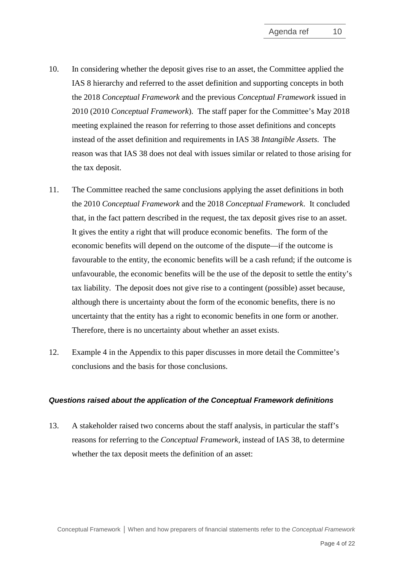- 10. In considering whether the deposit gives rise to an asset, the Committee applied the IAS 8 hierarchy and referred to the asset definition and supporting concepts in both the 2018 *Conceptual Framework* and the previous *Conceptual Framework* issued in 2010 (2010 *Conceptual Framework*). The staff paper for the Committee's May 2018 meeting explained the reason for referring to those asset definitions and concepts instead of the asset definition and requirements in IAS 38 *Intangible Assets*. The reason was that IAS 38 does not deal with issues similar or related to those arising for the tax deposit.
- 11. The Committee reached the same conclusions applying the asset definitions in both the 2010 *Conceptual Framework* and the 2018 *Conceptual Framework*. It concluded that, in the fact pattern described in the request, the tax deposit gives rise to an asset. It gives the entity a right that will produce economic benefits. The form of the economic benefits will depend on the outcome of the dispute—if the outcome is favourable to the entity, the economic benefits will be a cash refund; if the outcome is unfavourable, the economic benefits will be the use of the deposit to settle the entity's tax liability. The deposit does not give rise to a contingent (possible) asset because, although there is uncertainty about the form of the economic benefits, there is no uncertainty that the entity has a right to economic benefits in one form or another. Therefore, there is no uncertainty about whether an asset exists.
- 12. Example 4 in the Appendix to this paper discusses in more detail the Committee's conclusions and the basis for those conclusions.

## *Questions raised about the application of the Conceptual Framework definitions*

13. A stakeholder raised two concerns about the staff analysis, in particular the staff's reasons for referring to the *Conceptual Framework*, instead of IAS 38, to determine whether the tax deposit meets the definition of an asset: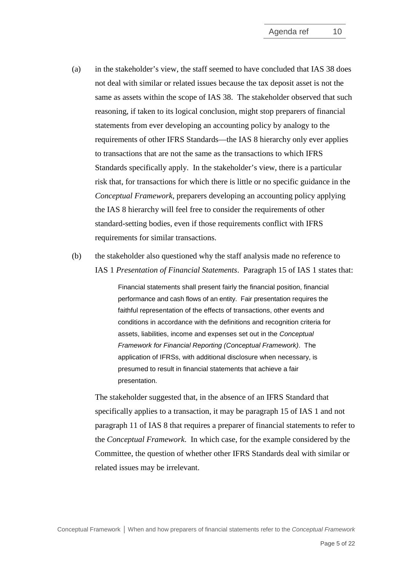- (a) in the stakeholder's view, the staff seemed to have concluded that IAS 38 does not deal with similar or related issues because the tax deposit asset is not the same as assets within the scope of IAS 38. The stakeholder observed that such reasoning, if taken to its logical conclusion, might stop preparers of financial statements from ever developing an accounting policy by analogy to the requirements of other IFRS Standards—the IAS 8 hierarchy only ever applies to transactions that are not the same as the transactions to which IFRS Standards specifically apply. In the stakeholder's view, there is a particular risk that, for transactions for which there is little or no specific guidance in the *Conceptual Framework*, preparers developing an accounting policy applying the IAS 8 hierarchy will feel free to consider the requirements of other standard-setting bodies, even if those requirements conflict with IFRS requirements for similar transactions.
- (b) the stakeholder also questioned why the staff analysis made no reference to IAS 1 *Presentation of Financial Statements*. Paragraph 15 of IAS 1 states that:

Financial statements shall present fairly the financial position, financial performance and cash flows of an entity. Fair presentation requires the faithful representation of the effects of transactions, other events and conditions in accordance with the definitions and recognition criteria for assets, liabilities, income and expenses set out in the *Conceptual Framework for Financial Reporting (Conceptual Framework)*. The application of IFRSs, with additional disclosure when necessary, is presumed to result in financial statements that achieve a fair presentation.

The stakeholder suggested that, in the absence of an IFRS Standard that specifically applies to a transaction, it may be paragraph 15 of IAS 1 and not paragraph 11 of IAS 8 that requires a preparer of financial statements to refer to the *Conceptual Framework*. In which case, for the example considered by the Committee, the question of whether other IFRS Standards deal with similar or related issues may be irrelevant.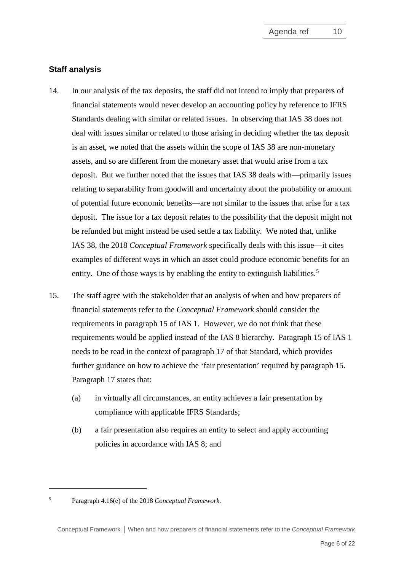## **Staff analysis**

- 14. In our analysis of the tax deposits, the staff did not intend to imply that preparers of financial statements would never develop an accounting policy by reference to IFRS Standards dealing with similar or related issues. In observing that IAS 38 does not deal with issues similar or related to those arising in deciding whether the tax deposit is an asset, we noted that the assets within the scope of IAS 38 are non-monetary assets, and so are different from the monetary asset that would arise from a tax deposit. But we further noted that the issues that IAS 38 deals with—primarily issues relating to separability from goodwill and uncertainty about the probability or amount of potential future economic benefits—are not similar to the issues that arise for a tax deposit. The issue for a tax deposit relates to the possibility that the deposit might not be refunded but might instead be used settle a tax liability. We noted that, unlike IAS 38, the 2018 *Conceptual Framework* specifically deals with this issue—it cites examples of different ways in which an asset could produce economic benefits for an entity. One of those ways is by enabling the entity to extinguish liabilities.<sup>[5](#page-5-0)</sup>
- 15. The staff agree with the stakeholder that an analysis of when and how preparers of financial statements refer to the *Conceptual Framework* should consider the requirements in paragraph 15 of IAS 1. However, we do not think that these requirements would be applied instead of the IAS 8 hierarchy. Paragraph 15 of IAS 1 needs to be read in the context of paragraph 17 of that Standard, which provides further guidance on how to achieve the 'fair presentation' required by paragraph 15. Paragraph 17 states that:
	- (a) in virtually all circumstances, an entity achieves a fair presentation by compliance with applicable IFRS Standards;
	- (b) a fair presentation also requires an entity to select and apply accounting policies in accordance with IAS 8; and

<span id="page-5-0"></span><sup>5</sup> Paragraph 4.16(e) of the 2018 *Conceptual Framework*.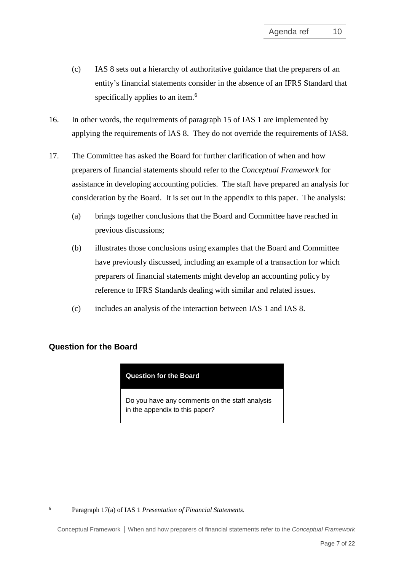- (c) IAS 8 sets out a hierarchy of authoritative guidance that the preparers of an entity's financial statements consider in the absence of an IFRS Standard that specifically applies to an item.<sup>[6](#page-6-0)</sup>
- 16. In other words, the requirements of paragraph 15 of IAS 1 are implemented by applying the requirements of IAS 8. They do not override the requirements of IAS8.
- 17. The Committee has asked the Board for further clarification of when and how preparers of financial statements should refer to the *Conceptual Framework* for assistance in developing accounting policies. The staff have prepared an analysis for consideration by the Board. It is set out in the appendix to this paper. The analysis:
	- (a) brings together conclusions that the Board and Committee have reached in previous discussions;
	- (b) illustrates those conclusions using examples that the Board and Committee have previously discussed, including an example of a transaction for which preparers of financial statements might develop an accounting policy by reference to IFRS Standards dealing with similar and related issues.
	- (c) includes an analysis of the interaction between IAS 1 and IAS 8.

# **Question for the Board**

-

# **Question for the Board**

Do you have any comments on the staff analysis in the appendix to this paper?

<span id="page-6-0"></span><sup>6</sup> Paragraph 17(a) of IAS 1 *Presentation of Financial Statements*.

Conceptual Framework **│** When and how preparers of financial statements refer to the *Conceptual Framework*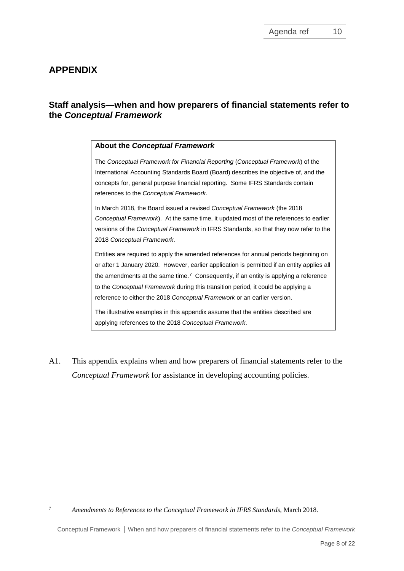# **APPENDIX**

# **Staff analysis—when and how preparers of financial statements refer to the** *Conceptual Framework*

## **About the** *Conceptual Framework*

The *Conceptual Framework for Financial Reporting* (*Conceptual Framework*) of the International Accounting Standards Board (Board) describes the objective of, and the concepts for, general purpose financial reporting. Some IFRS Standards contain references to the *Conceptual Framework*.

In March 2018, the Board issued a revised *Conceptual Framework* (the 2018 *Conceptual Framework*). At the same time, it updated most of the references to earlier versions of the *Conceptual Framework* in IFRS Standards, so that they now refer to the 2018 *Conceptual Framework*.

Entities are required to apply the amended references for annual periods beginning on or after 1 January 2020. However, earlier application is permitted if an entity applies all the amendments at the same time.<sup>7</sup> Consequently, if an entity is applying a reference to the *Conceptual Framework* during this transition period, it could be applying a reference to either the 2018 *Conceptual Framework* or an earlier version.

The illustrative examples in this appendix assume that the entities described are applying references to the 2018 *Conceptual Framework*.

A1. This appendix explains when and how preparers of financial statements refer to the *Conceptual Framework* for assistance in developing accounting policies.

<span id="page-7-0"></span><sup>-</sup>

<sup>7</sup> *Amendments to References to the Conceptual Framework in IFRS Standards*, March 2018.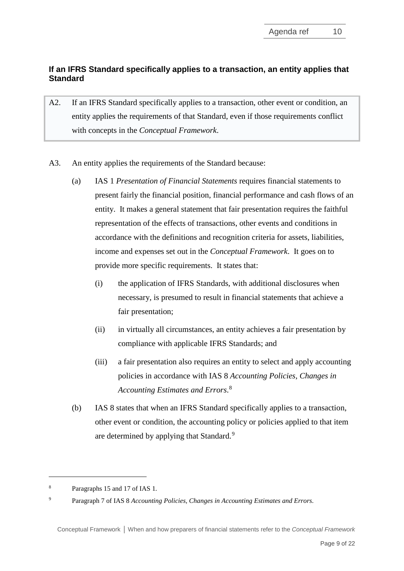# **If an IFRS Standard specifically applies to a transaction, an entity applies that Standard**

- A2. If an IFRS Standard specifically applies to a transaction, other event or condition, an entity applies the requirements of that Standard, even if those requirements conflict with concepts in the *Conceptual Framework*.
- A3. An entity applies the requirements of the Standard because:
	- (a) IAS 1 *Presentation of Financial Statements* requires financial statements to present fairly the financial position, financial performance and cash flows of an entity. It makes a general statement that fair presentation requires the faithful representation of the effects of transactions, other events and conditions in accordance with the definitions and recognition criteria for assets, liabilities, income and expenses set out in the *Conceptual Framework*. It goes on to provide more specific requirements. It states that:
		- (i) the application of IFRS Standards, with additional disclosures when necessary, is presumed to result in financial statements that achieve a fair presentation;
		- (ii) in virtually all circumstances, an entity achieves a fair presentation by compliance with applicable IFRS Standards; and
		- (iii) a fair presentation also requires an entity to select and apply accounting policies in accordance with IAS 8 *Accounting Policies, Changes in Accounting Estimates and Errors*. [8](#page-8-0)
	- (b) IAS 8 states that when an IFRS Standard specifically applies to a transaction, other event or condition, the accounting policy or policies applied to that item are determined by applying that Standard.<sup>[9](#page-8-1)</sup>

<span id="page-8-0"></span><sup>8</sup> Paragraphs 15 and 17 of IAS 1*.*

<span id="page-8-1"></span><sup>9</sup> Paragraph 7 of IAS 8 *Accounting Policies, Changes in Accounting Estimates and Errors*.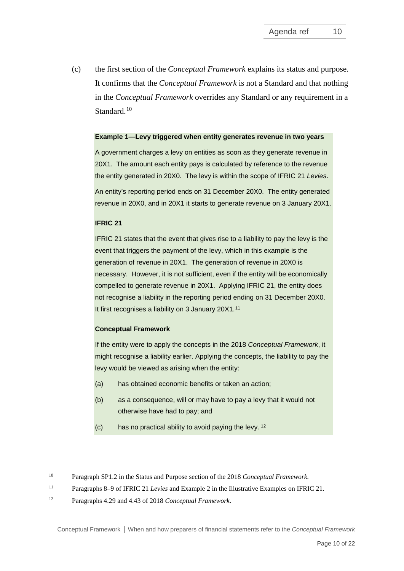(c) the first section of the *Conceptual Framework* explains its status and purpose. It confirms that the *Conceptual Framework* is not a Standard and that nothing in the *Conceptual Framework* overrides any Standard or any requirement in a Standard<sup>[10](#page-9-0)</sup>

### **Example 1—Levy triggered when entity generates revenue in two years**

A government charges a levy on entities as soon as they generate revenue in 20X1. The amount each entity pays is calculated by reference to the revenue the entity generated in 20X0. The levy is within the scope of IFRIC 21 *Levies*.

An entity's reporting period ends on 31 December 20X0. The entity generated revenue in 20X0, and in 20X1 it starts to generate revenue on 3 January 20X1.

### **IFRIC 21**

IFRIC 21 states that the event that gives rise to a liability to pay the levy is the event that triggers the payment of the levy, which in this example is the generation of revenue in 20X1. The generation of revenue in 20X0 is necessary. However, it is not sufficient, even if the entity will be economically compelled to generate revenue in 20X1. Applying IFRIC 21, the entity does not recognise a liability in the reporting period ending on 31 December 20X0. It first recognises a liability on 3 January 20X1.[11](#page-9-1)

### **Conceptual Framework**

If the entity were to apply the concepts in the 2018 *Conceptual Framework*, it might recognise a liability earlier. Applying the concepts, the liability to pay the levy would be viewed as arising when the entity:

- (a) has obtained economic benefits or taken an action;
- (b) as a consequence, will or may have to pay a levy that it would not otherwise have had to pay; and
- (c) has no practical ability to avoid paying the levy. [12](#page-9-2)

<span id="page-9-0"></span><sup>10</sup> Paragraph SP1.2 in the Status and Purpose section of the 2018 *Conceptual Framework.*

<span id="page-9-1"></span><sup>11</sup> Paragraphs 8–9 of IFRIC 21 *Levies* and Example 2 in the Illustrative Examples on IFRIC 21.

<span id="page-9-2"></span><sup>12</sup> Paragraphs 4.29 and 4.43 of 2018 *Conceptual Framework*.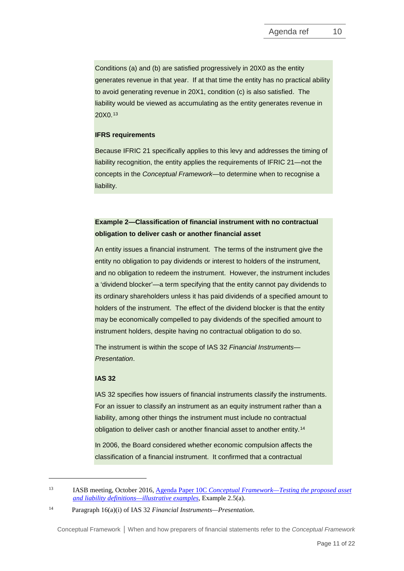Conditions (a) and (b) are satisfied progressively in 20X0 as the entity generates revenue in that year. If at that time the entity has no practical ability to avoid generating revenue in 20X1, condition (c) is also satisfied. The liability would be viewed as accumulating as the entity generates revenue in 20X0.[13](#page-10-0)

### **IFRS requirements**

Because IFRIC 21 specifically applies to this levy and addresses the timing of liability recognition, the entity applies the requirements of IFRIC 21—not the concepts in the *Conceptual Framework*—to determine when to recognise a liability.

# **Example 2—Classification of financial instrument with no contractual obligation to deliver cash or another financial asset**

An entity issues a financial instrument. The terms of the instrument give the entity no obligation to pay dividends or interest to holders of the instrument, and no obligation to redeem the instrument. However, the instrument includes a 'dividend blocker'—a term specifying that the entity cannot pay dividends to its ordinary shareholders unless it has paid dividends of a specified amount to holders of the instrument. The effect of the dividend blocker is that the entity may be economically compelled to pay dividends of the specified amount to instrument holders, despite having no contractual obligation to do so.

The instrument is within the scope of IAS 32 *Financial Instruments— Presentation*.

## **IAS 32**

<u>.</u>

IAS 32 specifies how issuers of financial instruments classify the instruments. For an issuer to classify an instrument as an equity instrument rather than a liability, among other things the instrument must include no contractual obligation to deliver cash or another financial asset to another entity.<sup>14</sup>

In 2006, the Board considered whether economic compulsion affects the classification of a financial instrument. It confirmed that a contractual

Conceptual Framework **│** When and how preparers of financial statements refer to the *Conceptual Framework*

<span id="page-10-0"></span><sup>13</sup> IASB meeting, October 2016, Agenda Paper 10C *[Conceptual Framework—Testing the proposed asset](https://www.ifrs.org/-/media/feature/meetings/2016/october/iasb/conceptual-framework/ap10c-testing-proposed-asset-liability-definitions-illustrative-examples.pdf)  [and liability definitions—illustrative examples](https://www.ifrs.org/-/media/feature/meetings/2016/october/iasb/conceptual-framework/ap10c-testing-proposed-asset-liability-definitions-illustrative-examples.pdf)*, Example 2.5(a).

<span id="page-10-1"></span><sup>14</sup> Paragraph 16(a)(i) of IAS 32 *Financial Instruments—Presentation*.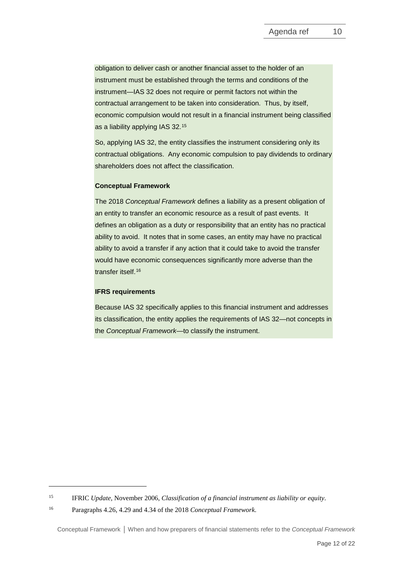obligation to deliver cash or another financial asset to the holder of an instrument must be established through the terms and conditions of the instrument—IAS 32 does not require or permit factors not within the contractual arrangement to be taken into consideration. Thus, by itself, economic compulsion would not result in a financial instrument being classified as a liability applying IAS 32.[15](#page-11-0)

So, applying IAS 32, the entity classifies the instrument considering only its contractual obligations. Any economic compulsion to pay dividends to ordinary shareholders does not affect the classification.

#### **Conceptual Framework**

The 2018 *Conceptual Framework* defines a liability as a present obligation of an entity to transfer an economic resource as a result of past events. It defines an obligation as a duty or responsibility that an entity has no practical ability to avoid. It notes that in some cases, an entity may have no practical ability to avoid a transfer if any action that it could take to avoid the transfer would have economic consequences significantly more adverse than the transfer itself.[16](#page-11-1)

### **IFRS requirements**

Because IAS 32 specifically applies to this financial instrument and addresses its classification, the entity applies the requirements of IAS 32—not concepts in the *Conceptual Framework*—to classify the instrument.

<span id="page-11-0"></span><sup>15</sup> IFRIC *Update*, November 2006, *Classification of a financial instrument as liability or equity*.

<span id="page-11-1"></span><sup>16</sup> Paragraphs 4.26, 4.29 and 4.34 of the 2018 *Conceptual Framework*.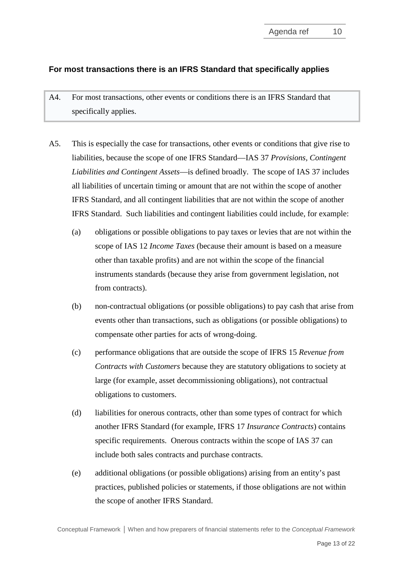# **For most transactions there is an IFRS Standard that specifically applies**

- A4. For most transactions, other events or conditions there is an IFRS Standard that specifically applies.
- A5. This is especially the case for transactions, other events or conditions that give rise to liabilities, because the scope of one IFRS Standard—IAS 37 *Provisions, Contingent Liabilities and Contingent Assets*—is defined broadly. The scope of IAS 37 includes all liabilities of uncertain timing or amount that are not within the scope of another IFRS Standard, and all contingent liabilities that are not within the scope of another IFRS Standard. Such liabilities and contingent liabilities could include, for example:
	- (a) obligations or possible obligations to pay taxes or levies that are not within the scope of IAS 12 *Income Taxes* (because their amount is based on a measure other than taxable profits) and are not within the scope of the financial instruments standards (because they arise from government legislation, not from contracts).
	- (b) non-contractual obligations (or possible obligations) to pay cash that arise from events other than transactions, such as obligations (or possible obligations) to compensate other parties for acts of wrong-doing.
	- (c) performance obligations that are outside the scope of IFRS 15 *Revenue from Contracts with Customers* because they are statutory obligations to society at large (for example, asset decommissioning obligations), not contractual obligations to customers.
	- (d) liabilities for onerous contracts, other than some types of contract for which another IFRS Standard (for example, IFRS 17 *Insurance Contracts*) contains specific requirements. Onerous contracts within the scope of IAS 37 can include both sales contracts and purchase contracts.
	- (e) additional obligations (or possible obligations) arising from an entity's past practices, published policies or statements, if those obligations are not within the scope of another IFRS Standard.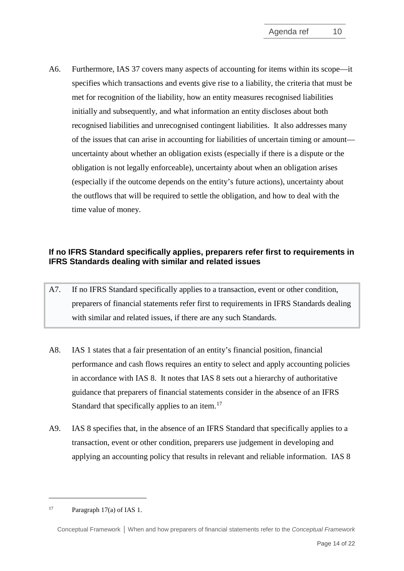A6. Furthermore, IAS 37 covers many aspects of accounting for items within its scope—it specifies which transactions and events give rise to a liability, the criteria that must be met for recognition of the liability, how an entity measures recognised liabilities initially and subsequently, and what information an entity discloses about both recognised liabilities and unrecognised contingent liabilities. It also addresses many of the issues that can arise in accounting for liabilities of uncertain timing or amount uncertainty about whether an obligation exists (especially if there is a dispute or the obligation is not legally enforceable), uncertainty about when an obligation arises (especially if the outcome depends on the entity's future actions), uncertainty about the outflows that will be required to settle the obligation, and how to deal with the time value of money.

# **If no IFRS Standard specifically applies, preparers refer first to requirements in IFRS Standards dealing with similar and related issues**

- A7. If no IFRS Standard specifically applies to a transaction, event or other condition, preparers of financial statements refer first to requirements in IFRS Standards dealing with similar and related issues, if there are any such Standards.
- A8. IAS 1 states that a fair presentation of an entity's financial position, financial performance and cash flows requires an entity to select and apply accounting policies in accordance with IAS 8. It notes that IAS 8 sets out a hierarchy of authoritative guidance that preparers of financial statements consider in the absence of an IFRS Standard that specifically applies to an item.<sup>[17](#page-13-0)</sup>
- A9. IAS 8 specifies that, in the absence of an IFRS Standard that specifically applies to a transaction, event or other condition, preparers use judgement in developing and applying an accounting policy that results in relevant and reliable information. IAS 8

-

<span id="page-13-0"></span><sup>&</sup>lt;sup>17</sup> Paragraph  $17(a)$  of IAS 1.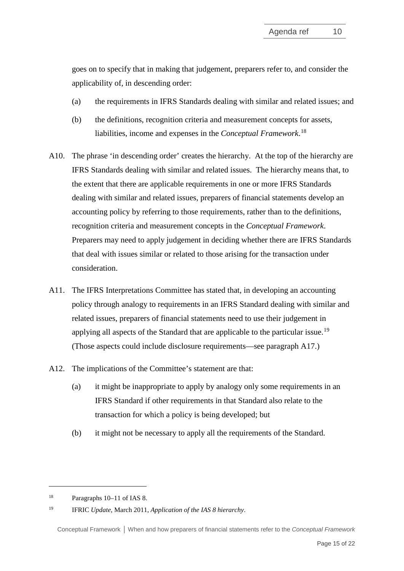goes on to specify that in making that judgement, preparers refer to, and consider the applicability of, in descending order:

- (a) the requirements in IFRS Standards dealing with similar and related issues; and
- (b) the definitions, recognition criteria and measurement concepts for assets, liabilities, income and expenses in the *Conceptual Framework*. [18](#page-14-0)
- A10. The phrase 'in descending order' creates the hierarchy. At the top of the hierarchy are IFRS Standards dealing with similar and related issues. The hierarchy means that, to the extent that there are applicable requirements in one or more IFRS Standards dealing with similar and related issues, preparers of financial statements develop an accounting policy by referring to those requirements, rather than to the definitions, recognition criteria and measurement concepts in the *Conceptual Framework*. Preparers may need to apply judgement in deciding whether there are IFRS Standards that deal with issues similar or related to those arising for the transaction under consideration.
- A11. The IFRS Interpretations Committee has stated that, in developing an accounting policy through analogy to requirements in an IFRS Standard dealing with similar and related issues, preparers of financial statements need to use their judgement in applying all aspects of the Standard that are applicable to the particular issue.<sup>[19](#page-14-1)</sup> (Those aspects could include disclosure requirements—see paragraph [A17.](#page-21-0))
- A12. The implications of the Committee's statement are that:
	- (a) it might be inappropriate to apply by analogy only some requirements in an IFRS Standard if other requirements in that Standard also relate to the transaction for which a policy is being developed; but
	- (b) it might not be necessary to apply all the requirements of the Standard.

<u>.</u>

Conceptual Framework **│** When and how preparers of financial statements refer to the *Conceptual Framework*

<span id="page-14-0"></span><sup>18</sup> Paragraphs 10–11 of IAS 8.

<span id="page-14-1"></span><sup>19</sup> IFRIC *Update*, March 2011, *Application of the IAS 8 hierarchy*.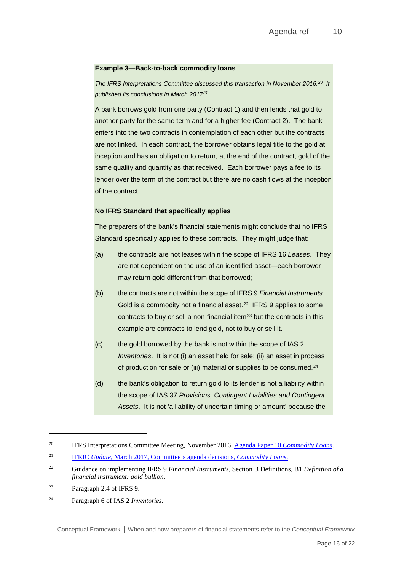#### **Example 3—Back-to-back commodity loans**

*The IFRS Interpretations Committee discussed this transaction in November 2016. [20](#page-15-0) It published its conclusions in March 2017[21](#page-15-1).* 

A bank borrows gold from one party (Contract 1) and then lends that gold to another party for the same term and for a higher fee (Contract 2). The bank enters into the two contracts in contemplation of each other but the contracts are not linked. In each contract, the borrower obtains legal title to the gold at inception and has an obligation to return, at the end of the contract, gold of the same quality and quantity as that received. Each borrower pays a fee to its lender over the term of the contract but there are no cash flows at the inception of the contract.

### **No IFRS Standard that specifically applies**

The preparers of the bank's financial statements might conclude that no IFRS Standard specifically applies to these contracts. They might judge that:

- (a) the contracts are not leases within the scope of IFRS 16 *Leases*. They are not dependent on the use of an identified asset—each borrower may return gold different from that borrowed;
- (b) the contracts are not within the scope of IFRS 9 *Financial Instruments*. Gold is a commodity not a financial asset.<sup>[22](#page-15-2)</sup> IFRS 9 applies to some contracts to buy or sell a non-financial item<sup>[23](#page-15-3)</sup> but the contracts in this example are contracts to lend gold, not to buy or sell it.
- (c) the gold borrowed by the bank is not within the scope of IAS 2 *Inventories*. It is not (i) an asset held for sale; (ii) an asset in process of production for sale or (iii) material or supplies to be consumed.<sup>[24](#page-15-4)</sup>
- (d) the bank's obligation to return gold to its lender is not a liability within the scope of IAS 37 *Provisions, Contingent Liabilities and Contingent Assets*. It is not 'a liability of uncertain timing or amount' because the

-

<span id="page-15-0"></span><sup>20</sup> IFRS Interpretations Committee Meeting, November 2016, [Agenda Paper 10](https://www.ifrs.org/-/media/feature/meetings/2016/november/ifrs-ic/commodity-loans/ap10-commodity_loans.pdf) *Commodity Loans*.

<span id="page-15-1"></span><sup>21</sup> IFRIC *Update*[, March 2017, Committee's agenda decisions,](https://www.ifrs.org/-/media/feature/news/updates/ifrs-ic/2017/ifric-update-march-2017.pdf) *Commodity Loans*.

<span id="page-15-2"></span><sup>22</sup> Guidance on implementing IFRS 9 *Financial Instruments*, Section B Definitions, B1 *Definition of a financial instrument: gold bullion*.

<span id="page-15-3"></span><sup>23</sup> Paragraph 2.4 of IFRS 9.

<span id="page-15-4"></span><sup>24</sup> Paragraph 6 of IAS 2 *Inventories*.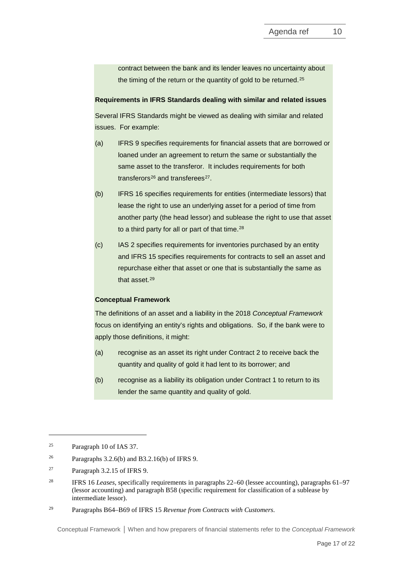contract between the bank and its lender leaves no uncertainty about the timing of the return or the quantity of gold to be returned.<sup>[25](#page-16-0)</sup>

## **Requirements in IFRS Standards dealing with similar and related issues**

Several IFRS Standards might be viewed as dealing with similar and related issues. For example:

- (a) IFRS 9 specifies requirements for financial assets that are borrowed or loaned under an agreement to return the same or substantially the same asset to the transferor. It includes requirements for both transferors $26$  and transferees $27$ .
- (b) IFRS 16 specifies requirements for entities (intermediate lessors) that lease the right to use an underlying asset for a period of time from another party (the head lessor) and sublease the right to use that asset to a third party for all or part of that time.<sup>[28](#page-16-3)</sup>
- (c) IAS 2 specifies requirements for inventories purchased by an entity and IFRS 15 specifies requirements for contracts to sell an asset and repurchase either that asset or one that is substantially the same as that asset.[29](#page-16-4)

### **Conceptual Framework**

The definitions of an asset and a liability in the 2018 *Conceptual Framework* focus on identifying an entity's rights and obligations. So, if the bank were to apply those definitions, it might:

- (a) recognise as an asset its right under Contract 2 to receive back the quantity and quality of gold it had lent to its borrower; and
- (b) recognise as a liability its obligation under Contract 1 to return to its lender the same quantity and quality of gold.

-

Conceptual Framework **│** When and how preparers of financial statements refer to the *Conceptual Framework*

<span id="page-16-0"></span><sup>25</sup> Paragraph 10 of IAS 37.

<span id="page-16-1"></span><sup>&</sup>lt;sup>26</sup> Paragraphs  $3.2.6(b)$  and  $B3.2.16(b)$  of IFRS 9.

<span id="page-16-2"></span><sup>27</sup> Paragraph 3.2.15 of IFRS 9.

<span id="page-16-3"></span><sup>28</sup> IFRS 16 *Leases*, specifically requirements in paragraphs 22–60 (lessee accounting), paragraphs 61–97 (lessor accounting) and paragraph B58 (specific requirement for classification of a sublease by intermediate lessor).

<span id="page-16-4"></span><sup>29</sup> Paragraphs B64–B69 of IFRS 15 *Revenue from Contracts with Customers*.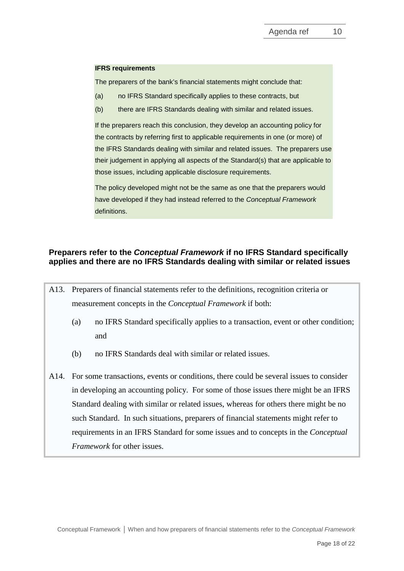### **IFRS requirements**

The preparers of the bank's financial statements might conclude that:

- (a) no IFRS Standard specifically applies to these contracts, but
- (b) there are IFRS Standards dealing with similar and related issues.

If the preparers reach this conclusion, they develop an accounting policy for the contracts by referring first to applicable requirements in one (or more) of the IFRS Standards dealing with similar and related issues. The preparers use their judgement in applying all aspects of the Standard(s) that are applicable to those issues, including applicable disclosure requirements.

The policy developed might not be the same as one that the preparers would have developed if they had instead referred to the *Conceptual Framework* definitions.

## **Preparers refer to the** *Conceptual Framework* **if no IFRS Standard specifically applies and there are no IFRS Standards dealing with similar or related issues**

- A13. Preparers of financial statements refer to the definitions, recognition criteria or measurement concepts in the *Conceptual Framework* if both:
	- (a) no IFRS Standard specifically applies to a transaction, event or other condition; and
	- (b) no IFRS Standards deal with similar or related issues.
- A14. For some transactions, events or conditions, there could be several issues to consider in developing an accounting policy. For some of those issues there might be an IFRS Standard dealing with similar or related issues, whereas for others there might be no such Standard. In such situations, preparers of financial statements might refer to requirements in an IFRS Standard for some issues and to concepts in the *Conceptual Framework* for other issues.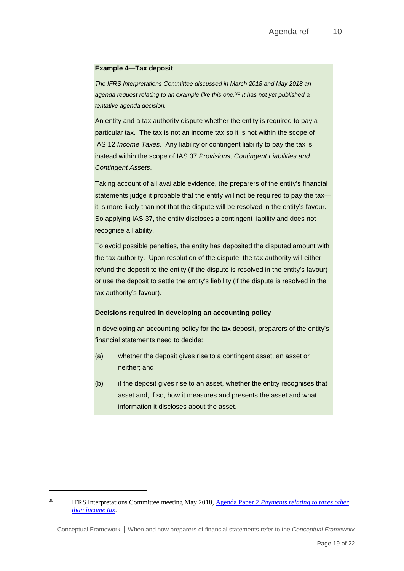#### **Example 4—Tax deposit**

*The IFRS Interpretations Committee discussed in March 2018 and May 2018 an agenda request relating to an example like this one.*[30](#page-18-0) *It has not yet published a tentative agenda decision.*

An entity and a tax authority dispute whether the entity is required to pay a particular tax. The tax is not an income tax so it is not within the scope of IAS 12 *Income Taxes*. Any liability or contingent liability to pay the tax is instead within the scope of IAS 37 *Provisions, Contingent Liabilities and Contingent Assets*.

Taking account of all available evidence, the preparers of the entity's financial statements judge it probable that the entity will not be required to pay the tax it is more likely than not that the dispute will be resolved in the entity's favour. So applying IAS 37, the entity discloses a contingent liability and does not recognise a liability.

To avoid possible penalties, the entity has deposited the disputed amount with the tax authority. Upon resolution of the dispute, the tax authority will either refund the deposit to the entity (if the dispute is resolved in the entity's favour) or use the deposit to settle the entity's liability (if the dispute is resolved in the tax authority's favour).

### **Decisions required in developing an accounting policy**

In developing an accounting policy for the tax deposit, preparers of the entity's financial statements need to decide:

- (a) whether the deposit gives rise to a contingent asset, an asset or neither; and
- (b) if the deposit gives rise to an asset, whether the entity recognises that asset and, if so, how it measures and presents the asset and what information it discloses about the asset.

<span id="page-18-0"></span><sup>30</sup> IFRS Interpretations Committee meeting May 2018, Agenda Paper 2 *[Payments relating to taxes other](https://www.ifrs.org/-/media/feature/meetings/2018/may/ifric/ap02-payments-relating-to-taxes-other-than-income-tax.pdf)  [than income tax](https://www.ifrs.org/-/media/feature/meetings/2018/may/ifric/ap02-payments-relating-to-taxes-other-than-income-tax.pdf)*.

Conceptual Framework **│** When and how preparers of financial statements refer to the *Conceptual Framework*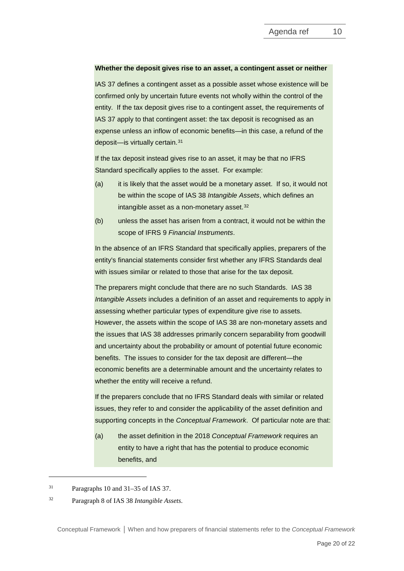#### **Whether the deposit gives rise to an asset, a contingent asset or neither**

IAS 37 defines a contingent asset as a possible asset whose existence will be confirmed only by uncertain future events not wholly within the control of the entity. If the tax deposit gives rise to a contingent asset, the requirements of IAS 37 apply to that contingent asset: the tax deposit is recognised as an expense unless an inflow of economic benefits—in this case, a refund of the deposit—is virtually certain.[31](#page-19-0)

If the tax deposit instead gives rise to an asset, it may be that no IFRS Standard specifically applies to the asset. For example:

- (a) it is likely that the asset would be a monetary asset. If so, it would not be within the scope of IAS 38 *Intangible Assets*, which defines an intangible asset as a non-monetary asset.<sup>[32](#page-19-1)</sup>
- (b) unless the asset has arisen from a contract, it would not be within the scope of IFRS 9 *Financial Instruments*.

In the absence of an IFRS Standard that specifically applies, preparers of the entity's financial statements consider first whether any IFRS Standards deal with issues similar or related to those that arise for the tax deposit.

The preparers might conclude that there are no such Standards. IAS 38 *Intangible Assets* includes a definition of an asset and requirements to apply in assessing whether particular types of expenditure give rise to assets. However, the assets within the scope of IAS 38 are non-monetary assets and the issues that IAS 38 addresses primarily concern separability from goodwill and uncertainty about the probability or amount of potential future economic benefits. The issues to consider for the tax deposit are different—the economic benefits are a determinable amount and the uncertainty relates to whether the entity will receive a refund.

If the preparers conclude that no IFRS Standard deals with similar or related issues, they refer to and consider the applicability of the asset definition and supporting concepts in the *Conceptual Framework*. Of particular note are that:

(a) the asset definition in the 2018 *Conceptual Framework* requires an entity to have a right that has the potential to produce economic benefits, and

<span id="page-19-0"></span><sup>31</sup> Paragraphs 10 and 31–35 of IAS 37.

<span id="page-19-1"></span><sup>32</sup> Paragraph 8 of IAS 38 *Intangible Assets*.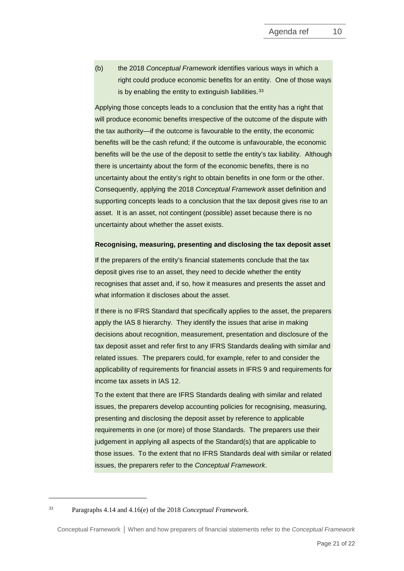(b) the 2018 *Conceptual Framework* identifies various ways in which a right could produce economic benefits for an entity. One of those ways is by enabling the entity to extinguish liabilities.<sup>[33](#page-20-0)</sup>

Applying those concepts leads to a conclusion that the entity has a right that will produce economic benefits irrespective of the outcome of the dispute with the tax authority—if the outcome is favourable to the entity, the economic benefits will be the cash refund; if the outcome is unfavourable, the economic benefits will be the use of the deposit to settle the entity's tax liability. Although there is uncertainty about the form of the economic benefits, there is no uncertainty about the entity's right to obtain benefits in one form or the other. Consequently, applying the 2018 *Conceptual Framework* asset definition and supporting concepts leads to a conclusion that the tax deposit gives rise to an asset. It is an asset, not contingent (possible) asset because there is no uncertainty about whether the asset exists.

### **Recognising, measuring, presenting and disclosing the tax deposit asset**

If the preparers of the entity's financial statements conclude that the tax deposit gives rise to an asset, they need to decide whether the entity recognises that asset and, if so, how it measures and presents the asset and what information it discloses about the asset.

If there is no IFRS Standard that specifically applies to the asset, the preparers apply the IAS 8 hierarchy. They identify the issues that arise in making decisions about recognition, measurement, presentation and disclosure of the tax deposit asset and refer first to any IFRS Standards dealing with similar and related issues. The preparers could, for example, refer to and consider the applicability of requirements for financial assets in IFRS 9 and requirements for income tax assets in IAS 12.

To the extent that there are IFRS Standards dealing with similar and related issues, the preparers develop accounting policies for recognising, measuring, presenting and disclosing the deposit asset by reference to applicable requirements in one (or more) of those Standards. The preparers use their judgement in applying all aspects of the Standard(s) that are applicable to those issues. To the extent that no IFRS Standards deal with similar or related issues, the preparers refer to the *Conceptual Framework*.

-

<span id="page-20-0"></span><sup>33</sup> Paragraphs 4.14 and 4.16(e) of the 2018 *Conceptual Framework*.